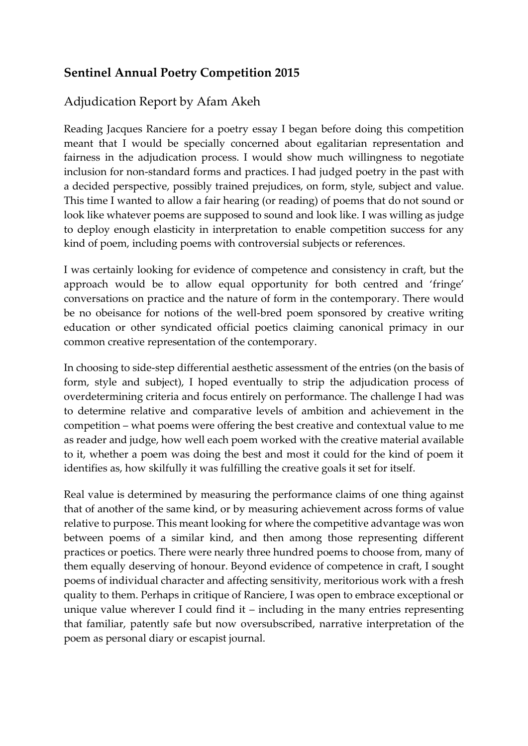# **Sentinel Annual Poetry Competition 2015**

### Adjudication Report by Afam Akeh

Reading Jacques Ranciere for a poetry essay I began before doing this competition meant that I would be specially concerned about egalitarian representation and fairness in the adjudication process. I would show much willingness to negotiate inclusion for non-standard forms and practices. I had judged poetry in the past with a decided perspective, possibly trained prejudices, on form, style, subject and value. This time I wanted to allow a fair hearing (or reading) of poems that do not sound or look like whatever poems are supposed to sound and look like. I was willing as judge to deploy enough elasticity in interpretation to enable competition success for any kind of poem, including poems with controversial subjects or references.

I was certainly looking for evidence of competence and consistency in craft, but the approach would be to allow equal opportunity for both centred and 'fringe' conversations on practice and the nature of form in the contemporary. There would be no obeisance for notions of the well-bred poem sponsored by creative writing education or other syndicated official poetics claiming canonical primacy in our common creative representation of the contemporary.

In choosing to side-step differential aesthetic assessment of the entries (on the basis of form, style and subject), I hoped eventually to strip the adjudication process of overdetermining criteria and focus entirely on performance. The challenge I had was to determine relative and comparative levels of ambition and achievement in the competition – what poems were offering the best creative and contextual value to me as reader and judge, how well each poem worked with the creative material available to it, whether a poem was doing the best and most it could for the kind of poem it identifies as, how skilfully it was fulfilling the creative goals it set for itself.

Real value is determined by measuring the performance claims of one thing against that of another of the same kind, or by measuring achievement across forms of value relative to purpose. This meant looking for where the competitive advantage was won between poems of a similar kind, and then among those representing different practices or poetics. There were nearly three hundred poems to choose from, many of them equally deserving of honour. Beyond evidence of competence in craft, I sought poems of individual character and affecting sensitivity, meritorious work with a fresh quality to them. Perhaps in critique of Ranciere, I was open to embrace exceptional or unique value wherever I could find it – including in the many entries representing that familiar, patently safe but now oversubscribed, narrative interpretation of the poem as personal diary or escapist journal.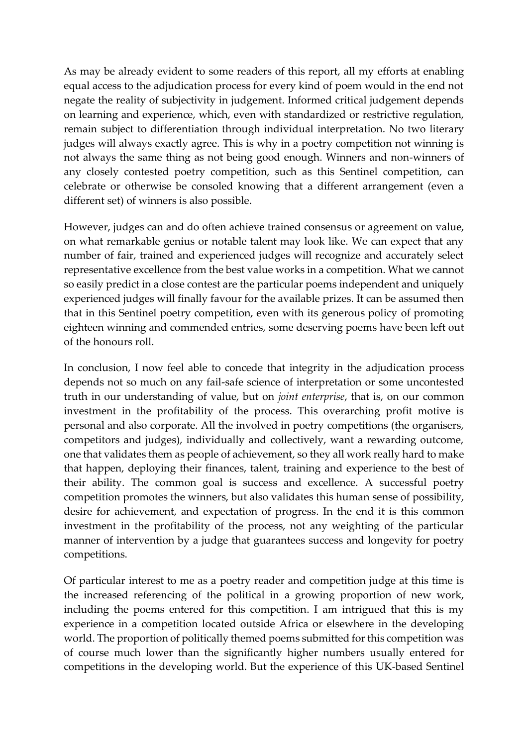As may be already evident to some readers of this report, all my efforts at enabling equal access to the adjudication process for every kind of poem would in the end not negate the reality of subjectivity in judgement. Informed critical judgement depends on learning and experience, which, even with standardized or restrictive regulation, remain subject to differentiation through individual interpretation. No two literary judges will always exactly agree. This is why in a poetry competition not winning is not always the same thing as not being good enough. Winners and non-winners of any closely contested poetry competition, such as this Sentinel competition, can celebrate or otherwise be consoled knowing that a different arrangement (even a different set) of winners is also possible.

However, judges can and do often achieve trained consensus or agreement on value, on what remarkable genius or notable talent may look like. We can expect that any number of fair, trained and experienced judges will recognize and accurately select representative excellence from the best value works in a competition. What we cannot so easily predict in a close contest are the particular poems independent and uniquely experienced judges will finally favour for the available prizes. It can be assumed then that in this Sentinel poetry competition, even with its generous policy of promoting eighteen winning and commended entries, some deserving poems have been left out of the honours roll.

In conclusion, I now feel able to concede that integrity in the adjudication process depends not so much on any fail-safe science of interpretation or some uncontested truth in our understanding of value, but on *joint enterprise*, that is, on our common investment in the profitability of the process. This overarching profit motive is personal and also corporate. All the involved in poetry competitions (the organisers, competitors and judges), individually and collectively, want a rewarding outcome, one that validates them as people of achievement, so they all work really hard to make that happen, deploying their finances, talent, training and experience to the best of their ability. The common goal is success and excellence. A successful poetry competition promotes the winners, but also validates this human sense of possibility, desire for achievement, and expectation of progress. In the end it is this common investment in the profitability of the process, not any weighting of the particular manner of intervention by a judge that guarantees success and longevity for poetry competitions.

Of particular interest to me as a poetry reader and competition judge at this time is the increased referencing of the political in a growing proportion of new work, including the poems entered for this competition. I am intrigued that this is my experience in a competition located outside Africa or elsewhere in the developing world. The proportion of politically themed poems submitted for this competition was of course much lower than the significantly higher numbers usually entered for competitions in the developing world. But the experience of this UK-based Sentinel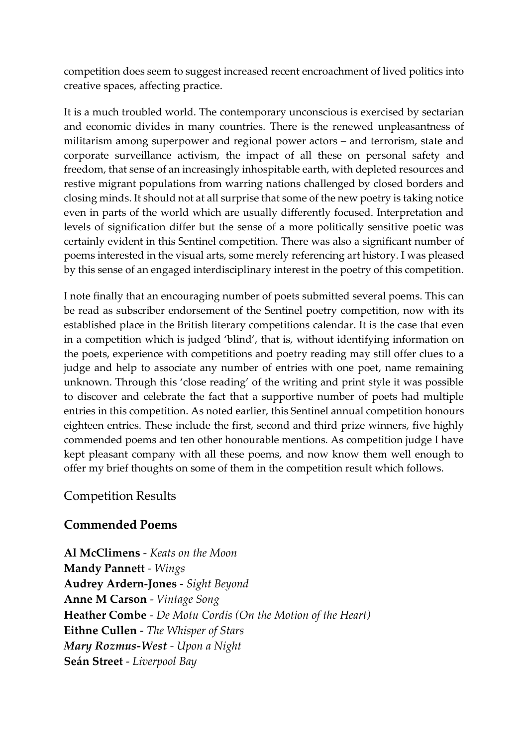competition does seem to suggest increased recent encroachment of lived politics into creative spaces, affecting practice.

It is a much troubled world. The contemporary unconscious is exercised by sectarian and economic divides in many countries. There is the renewed unpleasantness of militarism among superpower and regional power actors – and terrorism, state and corporate surveillance activism, the impact of all these on personal safety and freedom, that sense of an increasingly inhospitable earth, with depleted resources and restive migrant populations from warring nations challenged by closed borders and closing minds. It should not at all surprise that some of the new poetry is taking notice even in parts of the world which are usually differently focused. Interpretation and levels of signification differ but the sense of a more politically sensitive poetic was certainly evident in this Sentinel competition. There was also a significant number of poems interested in the visual arts, some merely referencing art history. I was pleased by this sense of an engaged interdisciplinary interest in the poetry of this competition.

I note finally that an encouraging number of poets submitted several poems. This can be read as subscriber endorsement of the Sentinel poetry competition, now with its established place in the British literary competitions calendar. It is the case that even in a competition which is judged 'blind', that is, without identifying information on the poets, experience with competitions and poetry reading may still offer clues to a judge and help to associate any number of entries with one poet, name remaining unknown. Through this 'close reading' of the writing and print style it was possible to discover and celebrate the fact that a supportive number of poets had multiple entries in this competition. As noted earlier, this Sentinel annual competition honours eighteen entries. These include the first, second and third prize winners, five highly commended poems and ten other honourable mentions. As competition judge I have kept pleasant company with all these poems, and now know them well enough to offer my brief thoughts on some of them in the competition result which follows.

### Competition Results

### **Commended Poems**

**Al McClimens** - *Keats on the Moon* **Mandy Pannett** *- Wings* **Audrey Ardern-Jones** - *Sight Beyond* **Anne M Carson** - *Vintage Song* **Heather Combe** - *De Motu Cordis (On the Motion of the Heart)* **Eithne Cullen** - *The Whisper of Stars Mary Rozmus-West - Upon a Night* **Seán Street** - *Liverpool Bay*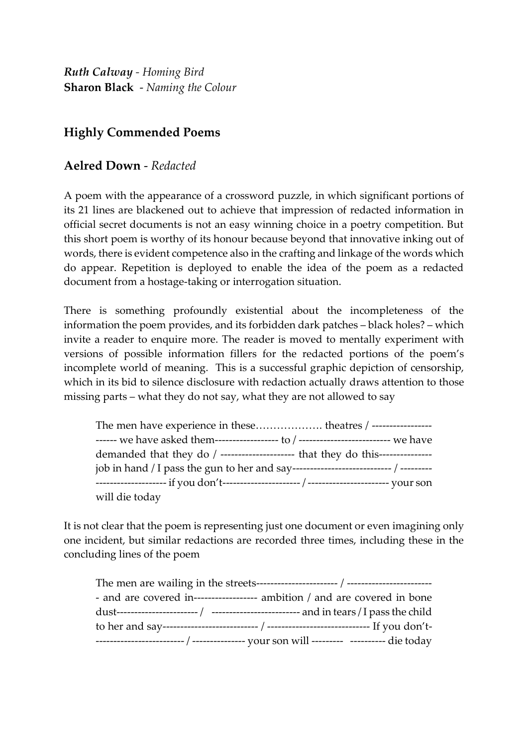*Ruth Calway - Homing Bird* **Sharon Black** - *Naming the Colour*

# **Highly Commended Poems**

### **Aelred Down** - *Redacted*

A poem with the appearance of a crossword puzzle, in which significant portions of its 21 lines are blackened out to achieve that impression of redacted information in official secret documents is not an easy winning choice in a poetry competition. But this short poem is worthy of its honour because beyond that innovative inking out of words, there is evident competence also in the crafting and linkage of the words which do appear. Repetition is deployed to enable the idea of the poem as a redacted document from a hostage-taking or interrogation situation.

There is something profoundly existential about the incompleteness of the information the poem provides, and its forbidden dark patches – black holes? – which invite a reader to enquire more. The reader is moved to mentally experiment with versions of possible information fillers for the redacted portions of the poem's incomplete world of meaning. This is a successful graphic depiction of censorship, which in its bid to silence disclosure with redaction actually draws attention to those missing parts – what they do not say, what they are not allowed to say

| demanded that they do / --------------------- that they do this--------------- |
|--------------------------------------------------------------------------------|
|                                                                                |
|                                                                                |
| will die today                                                                 |

It is not clear that the poem is representing just one document or even imagining only one incident, but similar redactions are recorded three times, including these in the concluding lines of the poem

| - and are covered in------------------ ambition / and are covered in bone |
|---------------------------------------------------------------------------|
|                                                                           |
|                                                                           |
|                                                                           |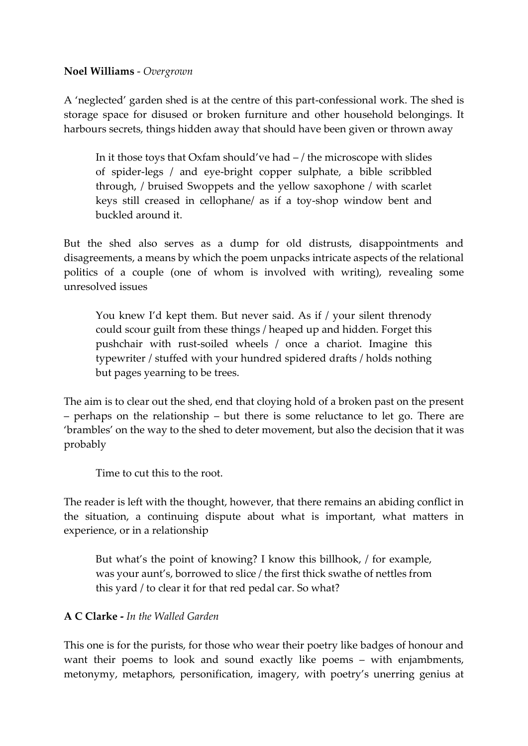#### **Noel Williams** - *Overgrown*

A 'neglected' garden shed is at the centre of this part-confessional work. The shed is storage space for disused or broken furniture and other household belongings. It harbours secrets, things hidden away that should have been given or thrown away

In it those toys that Oxfam should've had – / the microscope with slides of spider-legs / and eye-bright copper sulphate, a bible scribbled through, / bruised Swoppets and the yellow saxophone / with scarlet keys still creased in cellophane/ as if a toy-shop window bent and buckled around it.

But the shed also serves as a dump for old distrusts, disappointments and disagreements, a means by which the poem unpacks intricate aspects of the relational politics of a couple (one of whom is involved with writing), revealing some unresolved issues

You knew I'd kept them. But never said. As if / your silent threnody could scour guilt from these things / heaped up and hidden. Forget this pushchair with rust-soiled wheels / once a chariot. Imagine this typewriter / stuffed with your hundred spidered drafts / holds nothing but pages yearning to be trees.

The aim is to clear out the shed, end that cloying hold of a broken past on the present – perhaps on the relationship – but there is some reluctance to let go. There are 'brambles' on the way to the shed to deter movement, but also the decision that it was probably

Time to cut this to the root.

The reader is left with the thought, however, that there remains an abiding conflict in the situation, a continuing dispute about what is important, what matters in experience, or in a relationship

But what's the point of knowing? I know this billhook, / for example, was your aunt's, borrowed to slice / the first thick swathe of nettles from this yard / to clear it for that red pedal car. So what?

#### **A C Clarke -** *In the Walled Garden*

This one is for the purists, for those who wear their poetry like badges of honour and want their poems to look and sound exactly like poems – with enjambments, metonymy, metaphors, personification, imagery, with poetry's unerring genius at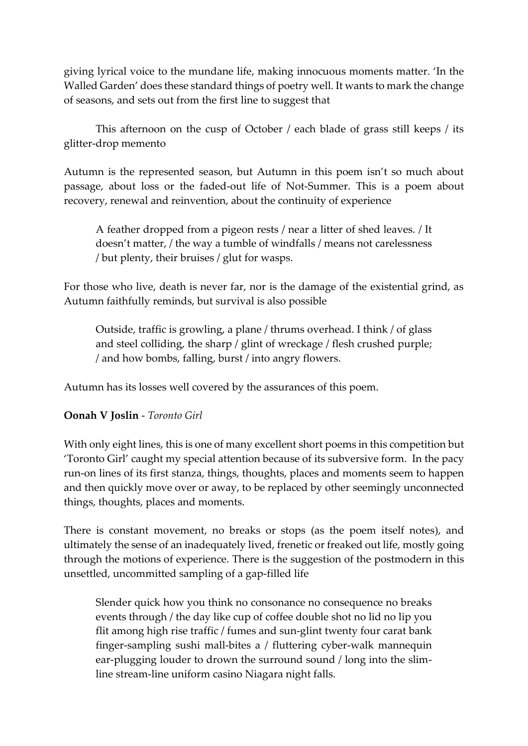giving lyrical voice to the mundane life, making innocuous moments matter. 'In the Walled Garden' does these standard things of poetry well. It wants to mark the change of seasons, and sets out from the first line to suggest that

This afternoon on the cusp of October / each blade of grass still keeps / its glitter-drop memento

Autumn is the represented season, but Autumn in this poem isn't so much about passage, about loss or the faded-out life of Not-Summer. This is a poem about recovery, renewal and reinvention, about the continuity of experience

A feather dropped from a pigeon rests / near a litter of shed leaves. / It doesn't matter, / the way a tumble of windfalls / means not carelessness / but plenty, their bruises / glut for wasps.

For those who live, death is never far, nor is the damage of the existential grind, as Autumn faithfully reminds, but survival is also possible

Outside, traffic is growling, a plane / thrums overhead. I think / of glass and steel colliding, the sharp / glint of wreckage / flesh crushed purple; / and how bombs, falling, burst / into angry flowers.

Autumn has its losses well covered by the assurances of this poem.

#### **Oonah V Joslin** - *Toronto Girl*

With only eight lines, this is one of many excellent short poems in this competition but 'Toronto Girl' caught my special attention because of its subversive form. In the pacy run-on lines of its first stanza, things, thoughts, places and moments seem to happen and then quickly move over or away, to be replaced by other seemingly unconnected things, thoughts, places and moments.

There is constant movement, no breaks or stops (as the poem itself notes), and ultimately the sense of an inadequately lived, frenetic or freaked out life, mostly going through the motions of experience. There is the suggestion of the postmodern in this unsettled, uncommitted sampling of a gap-filled life

Slender quick how you think no consonance no consequence no breaks events through / the day like cup of coffee double shot no lid no lip you flit among high rise traffic / fumes and sun-glint twenty four carat bank finger-sampling sushi mall-bites a / fluttering cyber-walk mannequin ear-plugging louder to drown the surround sound / long into the slimline stream-line uniform casino Niagara night falls.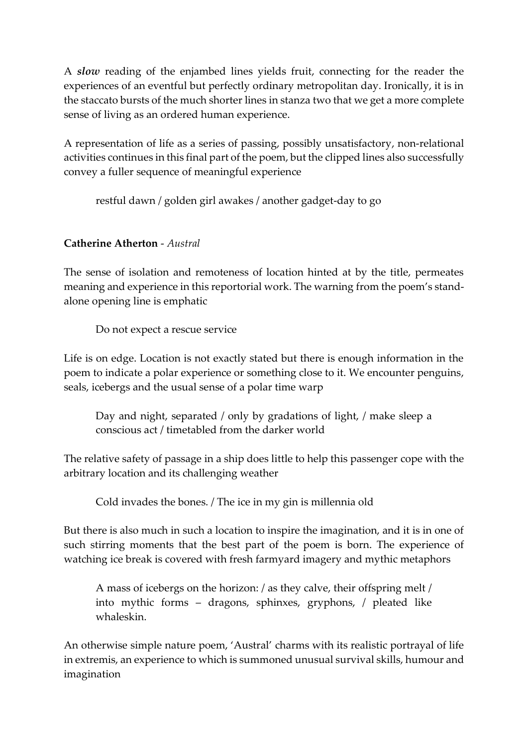A *slow* reading of the enjambed lines yields fruit, connecting for the reader the experiences of an eventful but perfectly ordinary metropolitan day. Ironically, it is in the staccato bursts of the much shorter lines in stanza two that we get a more complete sense of living as an ordered human experience.

A representation of life as a series of passing, possibly unsatisfactory, non-relational activities continues in this final part of the poem, but the clipped lines also successfully convey a fuller sequence of meaningful experience

restful dawn / golden girl awakes / another gadget-day to go

### **Catherine Atherton** - *Austral*

The sense of isolation and remoteness of location hinted at by the title, permeates meaning and experience in this reportorial work. The warning from the poem's standalone opening line is emphatic

Do not expect a rescue service

Life is on edge. Location is not exactly stated but there is enough information in the poem to indicate a polar experience or something close to it. We encounter penguins, seals, icebergs and the usual sense of a polar time warp

Day and night, separated / only by gradations of light, / make sleep a conscious act / timetabled from the darker world

The relative safety of passage in a ship does little to help this passenger cope with the arbitrary location and its challenging weather

Cold invades the bones. / The ice in my gin is millennia old

But there is also much in such a location to inspire the imagination, and it is in one of such stirring moments that the best part of the poem is born. The experience of watching ice break is covered with fresh farmyard imagery and mythic metaphors

A mass of icebergs on the horizon: / as they calve, their offspring melt / into mythic forms – dragons, sphinxes, gryphons, / pleated like whaleskin.

An otherwise simple nature poem, 'Austral' charms with its realistic portrayal of life in extremis, an experience to which is summoned unusual survival skills, humour and imagination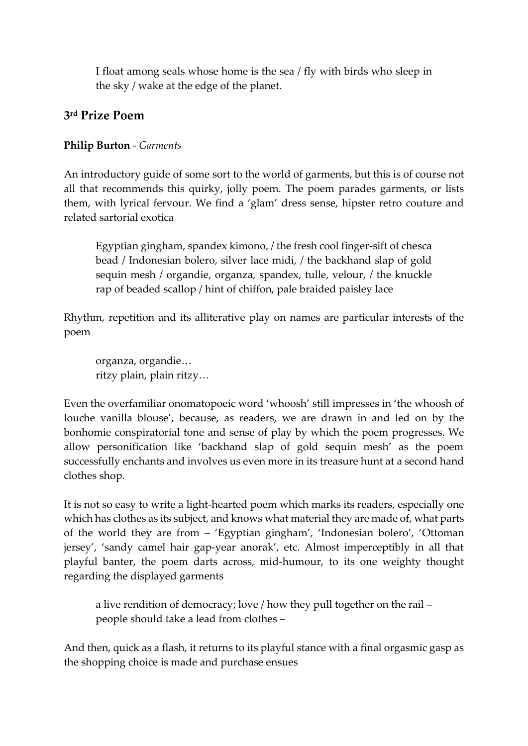I float among seals whose home is the sea / fly with birds who sleep in the sky / wake at the edge of the planet.

# **3 rd Prize Poem**

#### **Philip Burton** - *Garments*

An introductory guide of some sort to the world of garments, but this is of course not all that recommends this quirky, jolly poem. The poem parades garments, or lists them, with lyrical fervour. We find a 'glam' dress sense, hipster retro couture and related sartorial exotica

Egyptian gingham, spandex kimono, / the fresh cool finger-sift of chesca bead / Indonesian bolero, silver lace midi, / the backhand slap of gold sequin mesh / organdie, organza, spandex, tulle, velour, / the knuckle rap of beaded scallop / hint of chiffon, pale braided paisley lace

Rhythm, repetition and its alliterative play on names are particular interests of the poem

organza, organdie… ritzy plain, plain ritzy…

Even the overfamiliar onomatopoeic word 'whoosh' still impresses in 'the whoosh of louche vanilla blouse', because, as readers, we are drawn in and led on by the bonhomie conspiratorial tone and sense of play by which the poem progresses. We allow personification like 'backhand slap of gold sequin mesh' as the poem successfully enchants and involves us even more in its treasure hunt at a second hand clothes shop.

It is not so easy to write a light-hearted poem which marks its readers, especially one which has clothes as its subject, and knows what material they are made of, what parts of the world they are from – 'Egyptian gingham', 'Indonesian bolero', 'Ottoman jersey', 'sandy camel hair gap-year anorak', etc. Almost imperceptibly in all that playful banter, the poem darts across, mid-humour, to its one weighty thought regarding the displayed garments

a live rendition of democracy; love / how they pull together on the rail – people should take a lead from clothes –

And then, quick as a flash, it returns to its playful stance with a final orgasmic gasp as the shopping choice is made and purchase ensues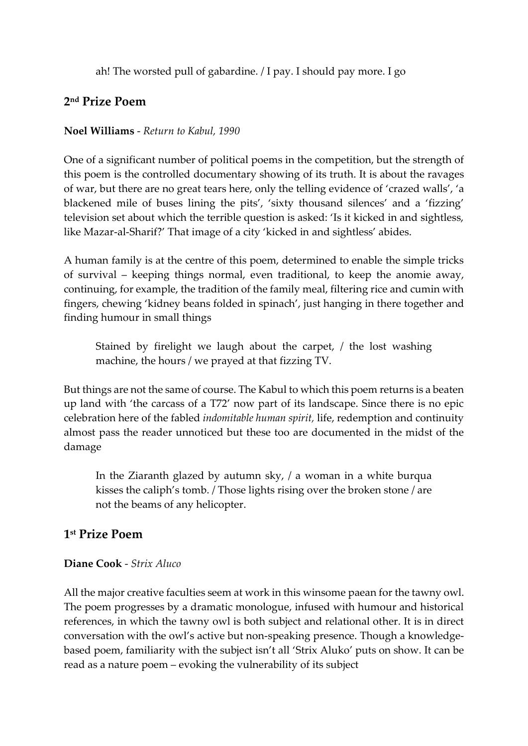ah! The worsted pull of gabardine. / I pay. I should pay more. I go

# **2 nd Prize Poem**

#### **Noel Williams** - *Return to Kabul, 1990*

One of a significant number of political poems in the competition, but the strength of this poem is the controlled documentary showing of its truth. It is about the ravages of war, but there are no great tears here, only the telling evidence of 'crazed walls', 'a blackened mile of buses lining the pits', 'sixty thousand silences' and a 'fizzing' television set about which the terrible question is asked: 'Is it kicked in and sightless, like Mazar-al-Sharif?' That image of a city 'kicked in and sightless' abides.

A human family is at the centre of this poem, determined to enable the simple tricks of survival – keeping things normal, even traditional, to keep the anomie away, continuing, for example, the tradition of the family meal, filtering rice and cumin with fingers, chewing 'kidney beans folded in spinach', just hanging in there together and finding humour in small things

Stained by firelight we laugh about the carpet, / the lost washing machine, the hours / we prayed at that fizzing TV.

But things are not the same of course. The Kabul to which this poem returns is a beaten up land with 'the carcass of a T72' now part of its landscape. Since there is no epic celebration here of the fabled *indomitable human spirit,* life, redemption and continuity almost pass the reader unnoticed but these too are documented in the midst of the damage

In the Ziaranth glazed by autumn sky, / a woman in a white burqua kisses the caliph's tomb. / Those lights rising over the broken stone / are not the beams of any helicopter.

# **1 st Prize Poem**

#### **Diane Cook** - *Strix Aluco*

All the major creative faculties seem at work in this winsome paean for the tawny owl. The poem progresses by a dramatic monologue, infused with humour and historical references, in which the tawny owl is both subject and relational other. It is in direct conversation with the owl's active but non-speaking presence. Though a knowledgebased poem, familiarity with the subject isn't all 'Strix Aluko' puts on show. It can be read as a nature poem – evoking the vulnerability of its subject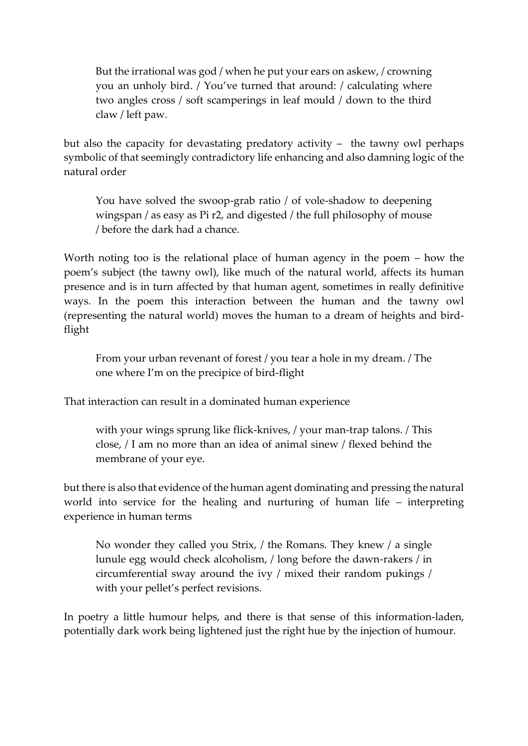But the irrational was god / when he put your ears on askew, / crowning you an unholy bird. / You've turned that around: / calculating where two angles cross / soft scamperings in leaf mould / down to the third claw / left paw.

but also the capacity for devastating predatory activity – the tawny owl perhaps symbolic of that seemingly contradictory life enhancing and also damning logic of the natural order

You have solved the swoop-grab ratio / of vole-shadow to deepening wingspan / as easy as Pi r2, and digested / the full philosophy of mouse / before the dark had a chance.

Worth noting too is the relational place of human agency in the poem – how the poem's subject (the tawny owl), like much of the natural world, affects its human presence and is in turn affected by that human agent, sometimes in really definitive ways. In the poem this interaction between the human and the tawny owl (representing the natural world) moves the human to a dream of heights and birdflight

From your urban revenant of forest / you tear a hole in my dream. / The one where I'm on the precipice of bird-flight

That interaction can result in a dominated human experience

with your wings sprung like flick-knives, / your man-trap talons. / This close, / I am no more than an idea of animal sinew / flexed behind the membrane of your eye.

but there is also that evidence of the human agent dominating and pressing the natural world into service for the healing and nurturing of human life – interpreting experience in human terms

No wonder they called you Strix, / the Romans. They knew / a single lunule egg would check alcoholism, / long before the dawn-rakers / in circumferential sway around the ivy / mixed their random pukings / with your pellet's perfect revisions.

In poetry a little humour helps, and there is that sense of this information-laden, potentially dark work being lightened just the right hue by the injection of humour.